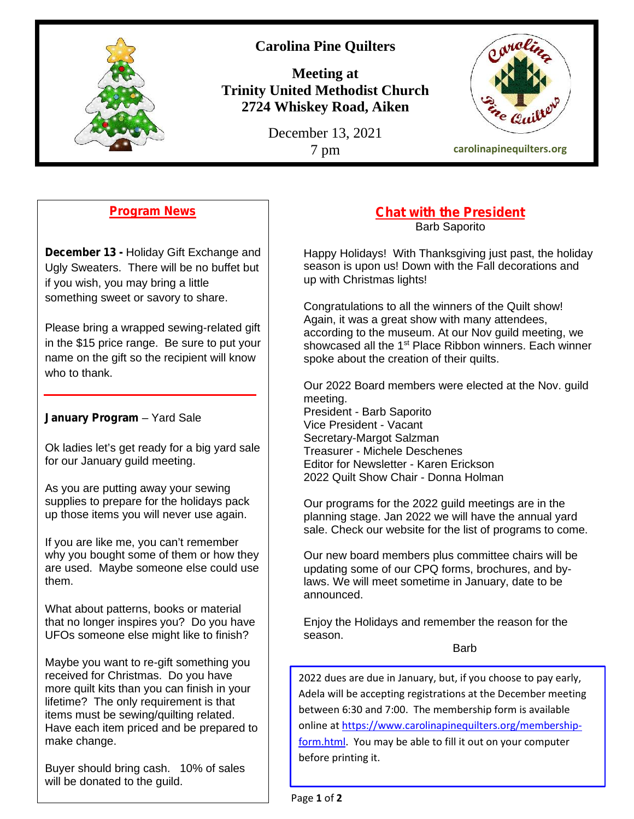

## **Carolina Pine Quilters**

**Meeting at Trinity United Methodist Church 2724 Whiskey Road, Aiken**

December 13, 2021



### **Program News**

**December 13 -** Holiday Gift Exchange and Ugly Sweaters. There will be no buffet but if you wish, you may bring a little something sweet or savory to share.

Please bring a wrapped sewing-related gift in the \$15 price range. Be sure to put your name on the gift so the recipient will know who to thank.

#### **January Program** – Yard Sale

Ok ladies let's get ready for a big yard sale for our January guild meeting.

As you are putting away your sewing supplies to prepare for the holidays pack up those items you will never use again.

If you are like me, you can't remember why you bought some of them or how they are used. Maybe someone else could use them.

What about patterns, books or material that no longer inspires you? Do you have UFOs someone else might like to finish?

Maybe you want to re-gift something you received for Christmas. Do you have more quilt kits than you can finish in your lifetime? The only requirement is that items must be sewing/quilting related. Have each item priced and be prepared to make change.

Buyer should bring cash. 10% of sales will be donated to the guild.

# **Chat with the President**

Barb Saporito

Happy Holidays! With Thanksgiving just past, the holiday season is upon us! Down with the Fall decorations and up with Christmas lights!

Congratulations to all the winners of the Quilt show! Again, it was a great show with many attendees, according to the museum. At our Nov guild meeting, we showcased all the 1<sup>st</sup> Place Ribbon winners. Each winner spoke about the creation of their quilts.

Our 2022 Board members were elected at the Nov. guild meeting.

President - Barb Saporito Vice President - Vacant Secretary-Margot Salzman Treasurer - Michele Deschenes Editor for Newsletter - Karen Erickson 2022 Quilt Show Chair - Donna Holman

Our programs for the 2022 guild meetings are in the planning stage. Jan 2022 we will have the annual yard sale. Check our website for the list of programs to come.

Our new board members plus committee chairs will be updating some of our CPQ forms, brochures, and bylaws. We will meet sometime in January, date to be announced.

Enjoy the Holidays and remember the reason for the season.

Barb

2022 dues are due in January, but, if you choose to pay early, Adela will be accepting registrations at the December meeting between 6:30 and 7:00. The membership form is available online at https://www.carolinapinequilters.org/membershipform.html. You may be able to fill it out on your computer before printing it.